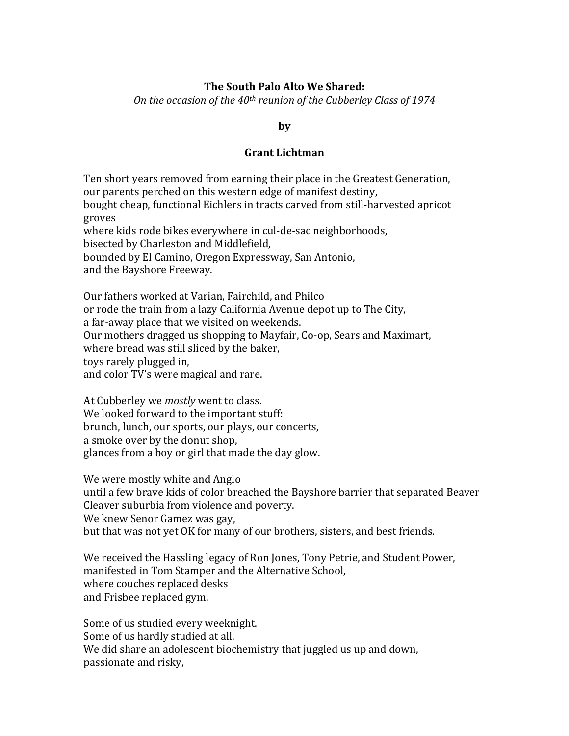### **The South Palo Alto We Shared:**

*On the occasion of the 40<sup>th</sup> reunion of the Cubberley Class of 1974* 

### **by**

### **Grant Lichtman**

Ten short years removed from earning their place in the Greatest Generation, our parents perched on this western edge of manifest destiny, bought cheap, functional Eichlers in tracts carved from still-harvested apricot groves where kids rode bikes everywhere in cul-de-sac neighborhoods, bisected by Charleston and Middlefield, bounded by El Camino, Oregon Expressway, San Antonio, and the Bayshore Freeway.

Our fathers worked at Varian, Fairchild, and Philco or rode the train from a lazy California Avenue depot up to The City, a far-away place that we visited on weekends. Our mothers dragged us shopping to Mayfair, Co-op, Sears and Maximart, where bread was still sliced by the baker, toys rarely plugged in, and color TV's were magical and rare.

At Cubberley we *mostly* went to class. We looked forward to the important stuff: brunch, lunch, our sports, our plays, our concerts, a smoke over by the donut shop, glances from a boy or girl that made the day glow.

We were mostly white and Anglo until a few brave kids of color breached the Bayshore barrier that separated Beaver Cleaver suburbia from violence and poverty. We knew Senor Gamez was gay, but that was not yet OK for many of our brothers, sisters, and best friends.

We received the Hassling legacy of Ron Jones, Tony Petrie, and Student Power, manifested in Tom Stamper and the Alternative School, where couches replaced desks and Frisbee replaced gym.

Some of us studied every weeknight. Some of us hardly studied at all. We did share an adolescent biochemistry that juggled us up and down, passionate and risky,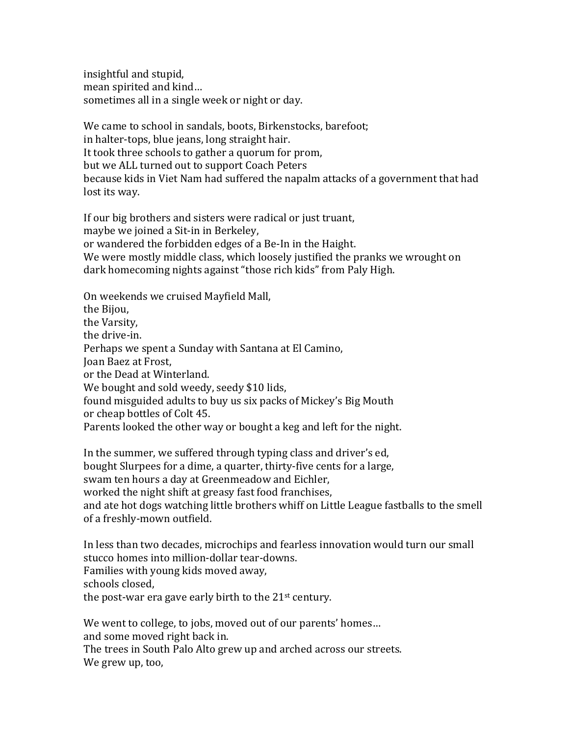insightful and stupid, mean spirited and kind... sometimes all in a single week or night or day.

We came to school in sandals, boots, Birkenstocks, barefoot; in halter-tops, blue jeans, long straight hair. It took three schools to gather a quorum for prom, but we ALL turned out to support Coach Peters because kids in Viet Nam had suffered the napalm attacks of a government that had lost its way.

If our big brothers and sisters were radical or just truant, maybe we joined a Sit-in in Berkeley, or wandered the forbidden edges of a Be-In in the Haight. We were mostly middle class, which loosely justified the pranks we wrought on dark homecoming nights against "those rich kids" from Paly High.

On weekends we cruised Mayfield Mall, the Bijou, the Varsity, the drive-in. Perhaps we spent a Sunday with Santana at El Camino, Joan Baez at Frost, or the Dead at Winterland. We bought and sold weedy, seedy \$10 lids, found misguided adults to buy us six packs of Mickey's Big Mouth or cheap bottles of Colt 45. Parents looked the other way or bought a keg and left for the night.

In the summer, we suffered through typing class and driver's ed, bought Slurpees for a dime, a quarter, thirty-five cents for a large, swam ten hours a day at Greenmeadow and Eichler, worked the night shift at greasy fast food franchises, and ate hot dogs watching little brothers whiff on Little League fastballs to the smell of a freshly-mown outfield.

In less than two decades, microchips and fearless innovation would turn our small stucco homes into million-dollar tear-downs. Families with young kids moved away, schools closed, the post-war era gave early birth to the  $21<sup>st</sup>$  century.

We went to college, to jobs, moved out of our parents' homes... and some moved right back in.

The trees in South Palo Alto grew up and arched across our streets. We grew up, too,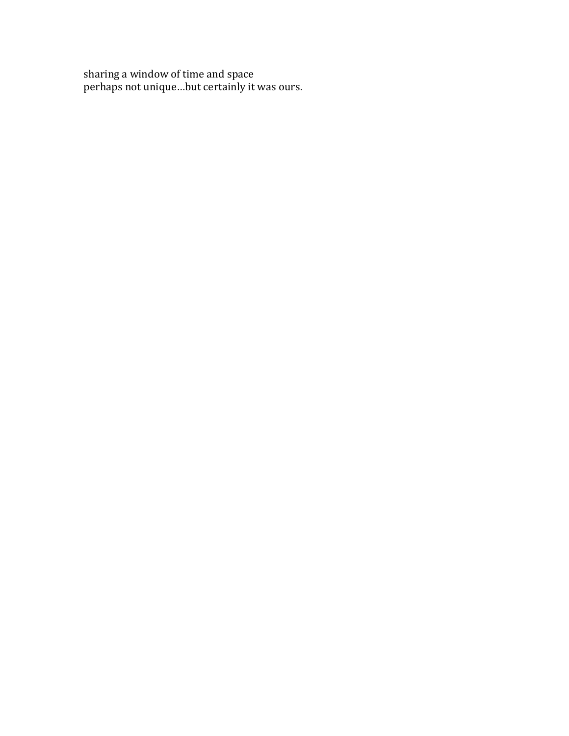sharing a window of time and space perhaps not unique...but certainly it was ours.